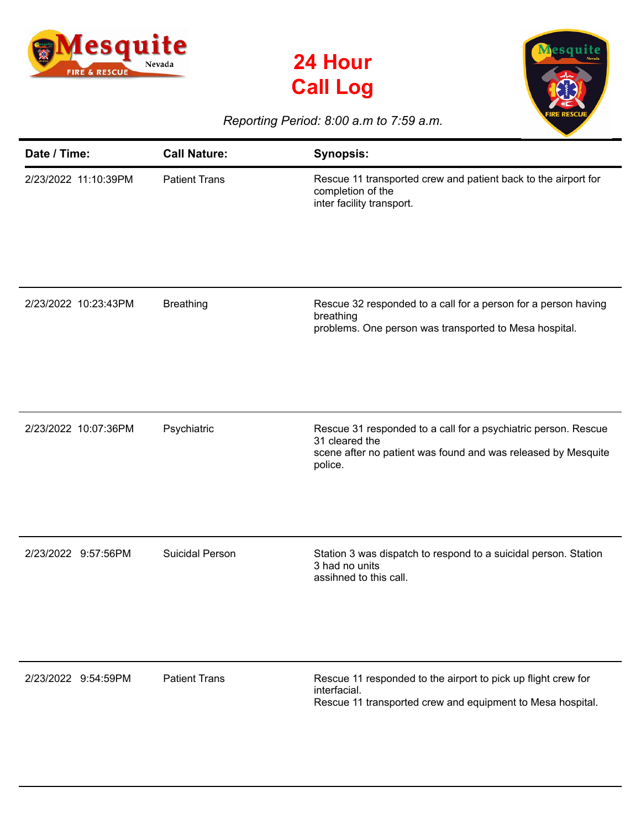





## *Reporting Period: 8:00 a.m to 7:59 a.m.*

| Date / Time:         | <b>Call Nature:</b>    | <b>Synopsis:</b>                                                                                                                                             |
|----------------------|------------------------|--------------------------------------------------------------------------------------------------------------------------------------------------------------|
| 2/23/2022 11:10:39PM | <b>Patient Trans</b>   | Rescue 11 transported crew and patient back to the airport for<br>completion of the<br>inter facility transport.                                             |
| 2/23/2022 10:23:43PM | <b>Breathing</b>       | Rescue 32 responded to a call for a person for a person having<br>breathing<br>problems. One person was transported to Mesa hospital.                        |
| 2/23/2022 10:07:36PM | Psychiatric            | Rescue 31 responded to a call for a psychiatric person. Rescue<br>31 cleared the<br>scene after no patient was found and was released by Mesquite<br>police. |
| 2/23/2022 9:57:56PM  | <b>Suicidal Person</b> | Station 3 was dispatch to respond to a suicidal person. Station<br>3 had no units<br>assihned to this call.                                                  |
| 2/23/2022 9:54:59PM  | <b>Patient Trans</b>   | Rescue 11 responded to the airport to pick up flight crew for<br>interfacial.<br>Rescue 11 transported crew and equipment to Mesa hospital.                  |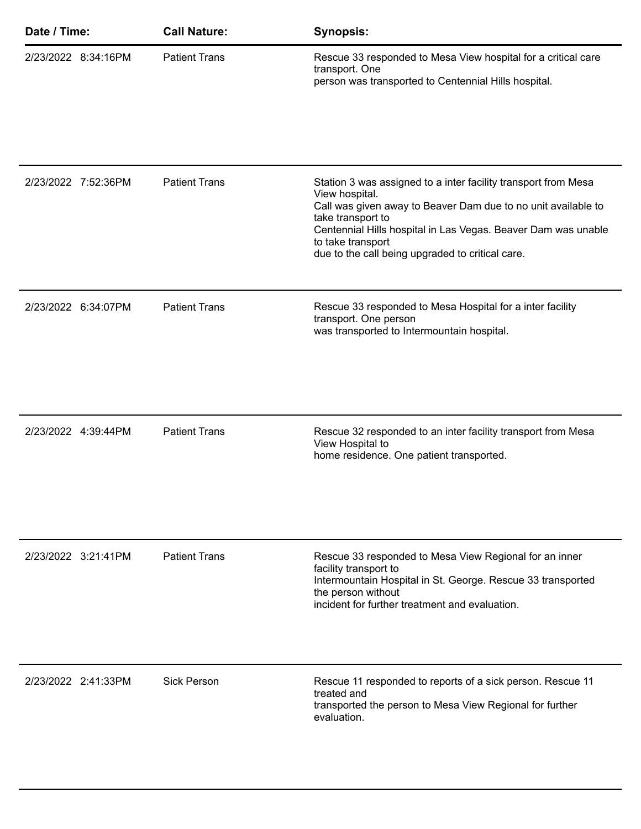| Date / Time: |                     | <b>Call Nature:</b>  | <b>Synopsis:</b>                                                                                                                                                                                                                                                                                                 |
|--------------|---------------------|----------------------|------------------------------------------------------------------------------------------------------------------------------------------------------------------------------------------------------------------------------------------------------------------------------------------------------------------|
|              | 2/23/2022 8:34:16PM | <b>Patient Trans</b> | Rescue 33 responded to Mesa View hospital for a critical care<br>transport. One<br>person was transported to Centennial Hills hospital.                                                                                                                                                                          |
|              | 2/23/2022 7:52:36PM | <b>Patient Trans</b> | Station 3 was assigned to a inter facility transport from Mesa<br>View hospital.<br>Call was given away to Beaver Dam due to no unit available to<br>take transport to<br>Centennial Hills hospital in Las Vegas. Beaver Dam was unable<br>to take transport<br>due to the call being upgraded to critical care. |
|              | 2/23/2022 6:34:07PM | <b>Patient Trans</b> | Rescue 33 responded to Mesa Hospital for a inter facility<br>transport. One person<br>was transported to Intermountain hospital.                                                                                                                                                                                 |
|              | 2/23/2022 4:39:44PM | <b>Patient Trans</b> | Rescue 32 responded to an inter facility transport from Mesa<br>View Hospital to<br>home residence. One patient transported.                                                                                                                                                                                     |
|              | 2/23/2022 3:21:41PM | <b>Patient Trans</b> | Rescue 33 responded to Mesa View Regional for an inner<br>facility transport to<br>Intermountain Hospital in St. George. Rescue 33 transported<br>the person without<br>incident for further treatment and evaluation.                                                                                           |
|              | 2/23/2022 2:41:33PM | <b>Sick Person</b>   | Rescue 11 responded to reports of a sick person. Rescue 11<br>treated and<br>transported the person to Mesa View Regional for further<br>evaluation.                                                                                                                                                             |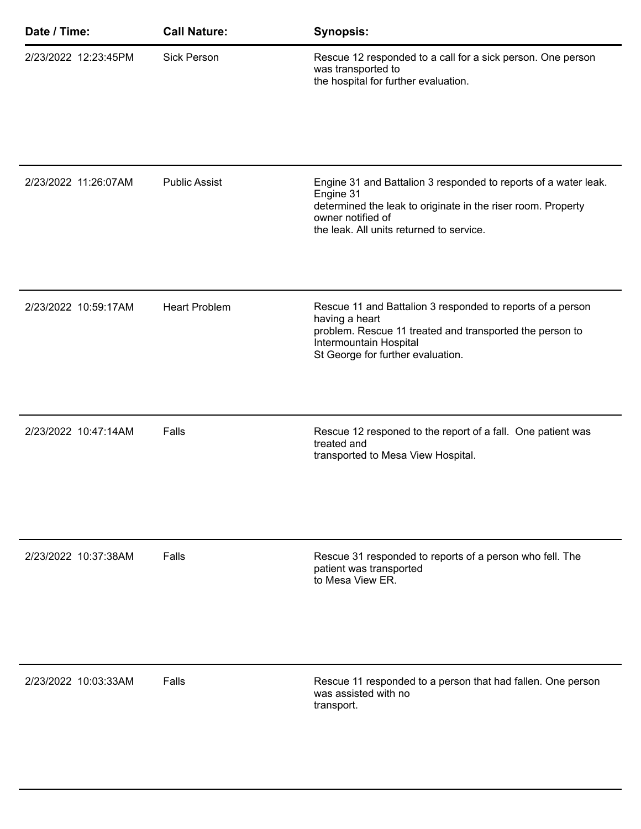| Date / Time:         | <b>Call Nature:</b>  | <b>Synopsis:</b>                                                                                                                                                                                              |
|----------------------|----------------------|---------------------------------------------------------------------------------------------------------------------------------------------------------------------------------------------------------------|
| 2/23/2022 12:23:45PM | <b>Sick Person</b>   | Rescue 12 responded to a call for a sick person. One person<br>was transported to<br>the hospital for further evaluation.                                                                                     |
|                      |                      |                                                                                                                                                                                                               |
| 2/23/2022 11:26:07AM | <b>Public Assist</b> | Engine 31 and Battalion 3 responded to reports of a water leak.<br>Engine 31<br>determined the leak to originate in the riser room. Property<br>owner notified of<br>the leak. All units returned to service. |
| 2/23/2022 10:59:17AM | <b>Heart Problem</b> | Rescue 11 and Battalion 3 responded to reports of a person<br>having a heart<br>problem. Rescue 11 treated and transported the person to<br>Intermountain Hospital<br>St George for further evaluation.       |
| 2/23/2022 10:47:14AM | Falls                | Rescue 12 responed to the report of a fall. One patient was<br>treated and<br>transported to Mesa View Hospital.                                                                                              |
| 2/23/2022 10:37:38AM | Falls                | Rescue 31 responded to reports of a person who fell. The<br>patient was transported<br>to Mesa View ER.                                                                                                       |
| 2/23/2022 10:03:33AM | Falls                | Rescue 11 responded to a person that had fallen. One person<br>was assisted with no<br>transport.                                                                                                             |